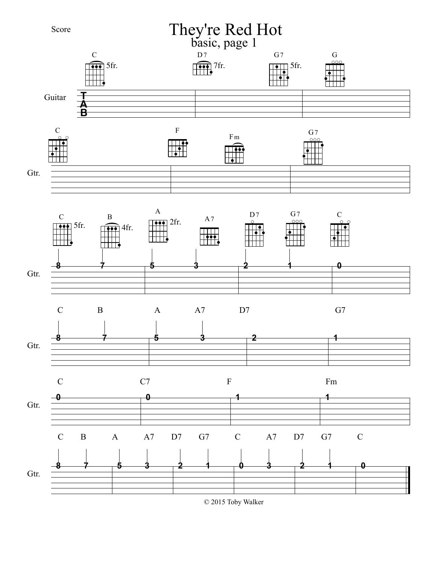